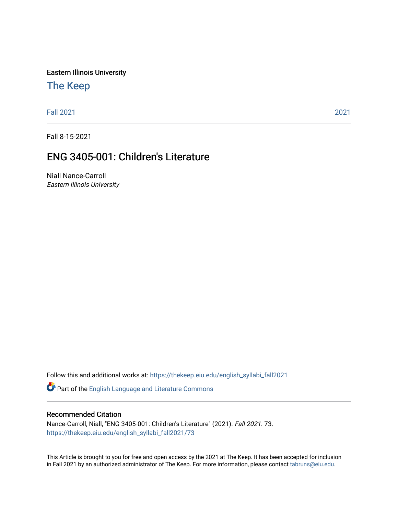Eastern Illinois University

# [The Keep](https://thekeep.eiu.edu/)

[Fall 2021](https://thekeep.eiu.edu/english_syllabi_fall2021) [2021](https://thekeep.eiu.edu/english_syllabi2021) 

Fall 8-15-2021

# ENG 3405-001: Children's Literature

Niall Nance-Carroll Eastern Illinois University

Follow this and additional works at: [https://thekeep.eiu.edu/english\\_syllabi\\_fall2021](https://thekeep.eiu.edu/english_syllabi_fall2021?utm_source=thekeep.eiu.edu%2Fenglish_syllabi_fall2021%2F73&utm_medium=PDF&utm_campaign=PDFCoverPages) 

Part of the [English Language and Literature Commons](http://network.bepress.com/hgg/discipline/455?utm_source=thekeep.eiu.edu%2Fenglish_syllabi_fall2021%2F73&utm_medium=PDF&utm_campaign=PDFCoverPages)

#### Recommended Citation

Nance-Carroll, Niall, "ENG 3405-001: Children's Literature" (2021). Fall 2021. 73. [https://thekeep.eiu.edu/english\\_syllabi\\_fall2021/73](https://thekeep.eiu.edu/english_syllabi_fall2021/73?utm_source=thekeep.eiu.edu%2Fenglish_syllabi_fall2021%2F73&utm_medium=PDF&utm_campaign=PDFCoverPages)

This Article is brought to you for free and open access by the 2021 at The Keep. It has been accepted for inclusion in Fall 2021 by an authorized administrator of The Keep. For more information, please contact [tabruns@eiu.edu](mailto:tabruns@eiu.edu).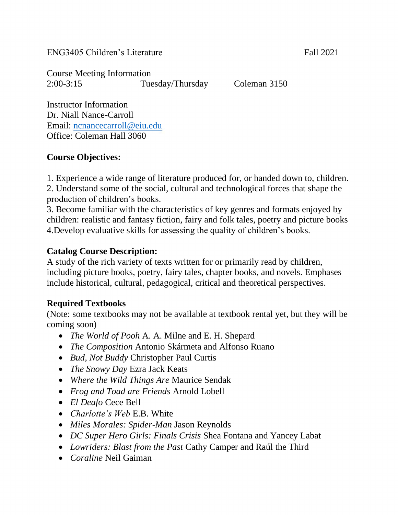ENG3405 Children's Literature Fall 2021

Course Meeting Information 2:00-3:15 Tuesday/Thursday Coleman 3150

Instructor Information Dr. Niall Nance-Carroll Email: [ncnancecarroll@eiu.edu](mailto:ncnancecarroll@eiu.edu) Office: Coleman Hall 3060

#### **Course Objectives:**

1. Experience a wide range of literature produced for, or handed down to, children. 2. Understand some of the social, cultural and technological forces that shape the production of children's books.

3. Become familiar with the characteristics of key genres and formats enjoyed by children: realistic and fantasy fiction, fairy and folk tales, poetry and picture books 4.Develop evaluative skills for assessing the quality of children's books.

#### **Catalog Course Description:**

A study of the rich variety of texts written for or primarily read by children, including picture books, poetry, fairy tales, chapter books, and novels. Emphases include historical, cultural, pedagogical, critical and theoretical perspectives.

# **Required Textbooks**

(Note: some textbooks may not be available at textbook rental yet, but they will be coming soon)

- *The World of Pooh* A. A. Milne and E. H. Shepard
- *The Composition* Antonio Skármeta and Alfonso Ruano
- *Bud, Not Buddy* Christopher Paul Curtis
- *The Snowy Day* Ezra Jack Keats
- *Where the Wild Things Are* Maurice Sendak
- *Frog and Toad are Friends* Arnold Lobell
- *El Deafo* Cece Bell
- *Charlotte's Web* E.B. White
- *Miles Morales: Spider-Man* Jason Reynolds
- *DC Super Hero Girls: Finals Crisis* Shea Fontana and Yancey Labat
- *Lowriders: Blast from the Past* Cathy Camper and Raúl the Third
- *Coraline* Neil Gaiman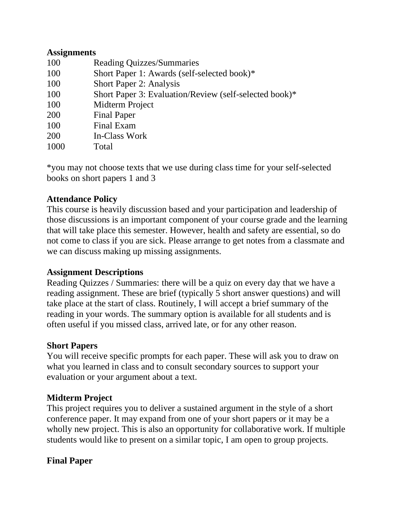#### **Assignments**

| 100  | <b>Reading Quizzes/Summaries</b>                       |
|------|--------------------------------------------------------|
| 100  | Short Paper 1: Awards (self-selected book)*            |
| 100  | Short Paper 2: Analysis                                |
| 100  | Short Paper 3: Evaluation/Review (self-selected book)* |
| 100  | Midterm Project                                        |
| 200  | <b>Final Paper</b>                                     |
| 100  | Final Exam                                             |
| 200  | In-Class Work                                          |
| 1000 | Total                                                  |

\*you may not choose texts that we use during class time for your self-selected books on short papers 1 and 3

#### **Attendance Policy**

This course is heavily discussion based and your participation and leadership of those discussions is an important component of your course grade and the learning that will take place this semester. However, health and safety are essential, so do not come to class if you are sick. Please arrange to get notes from a classmate and we can discuss making up missing assignments.

#### **Assignment Descriptions**

Reading Quizzes / Summaries: there will be a quiz on every day that we have a reading assignment. These are brief (typically 5 short answer questions) and will take place at the start of class. Routinely, I will accept a brief summary of the reading in your words. The summary option is available for all students and is often useful if you missed class, arrived late, or for any other reason.

#### **Short Papers**

You will receive specific prompts for each paper. These will ask you to draw on what you learned in class and to consult secondary sources to support your evaluation or your argument about a text.

#### **Midterm Project**

This project requires you to deliver a sustained argument in the style of a short conference paper. It may expand from one of your short papers or it may be a wholly new project. This is also an opportunity for collaborative work. If multiple students would like to present on a similar topic, I am open to group projects.

#### **Final Paper**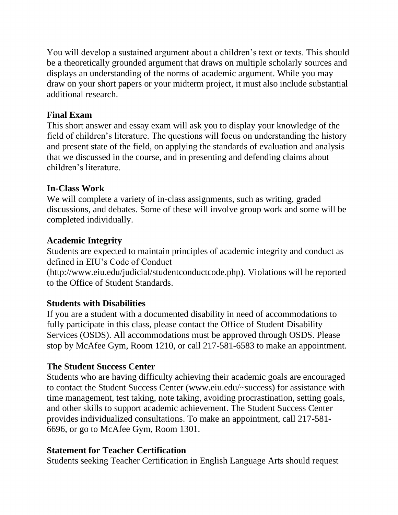You will develop a sustained argument about a children's text or texts. This should be a theoretically grounded argument that draws on multiple scholarly sources and displays an understanding of the norms of academic argument. While you may draw on your short papers or your midterm project, it must also include substantial additional research.

### **Final Exam**

This short answer and essay exam will ask you to display your knowledge of the field of children's literature. The questions will focus on understanding the history and present state of the field, on applying the standards of evaluation and analysis that we discussed in the course, and in presenting and defending claims about children's literature.

#### **In-Class Work**

We will complete a variety of in-class assignments, such as writing, graded discussions, and debates. Some of these will involve group work and some will be completed individually.

## **Academic Integrity**

Students are expected to maintain principles of academic integrity and conduct as defined in EIU's Code of Conduct

(http://www.eiu.edu/judicial/studentconductcode.php). Violations will be reported to the Office of Student Standards.

# **Students with Disabilities**

If you are a student with a documented disability in need of accommodations to fully participate in this class, please contact the Office of Student Disability Services (OSDS). All accommodations must be approved through OSDS. Please stop by McAfee Gym, Room 1210, or call 217-581-6583 to make an appointment.

# **The Student Success Center**

Students who are having difficulty achieving their academic goals are encouraged to contact the Student Success Center (www.eiu.edu/~success) for assistance with time management, test taking, note taking, avoiding procrastination, setting goals, and other skills to support academic achievement. The Student Success Center provides individualized consultations. To make an appointment, call 217-581- 6696, or go to McAfee Gym, Room 1301.

# **Statement for Teacher Certification**

Students seeking Teacher Certification in English Language Arts should request